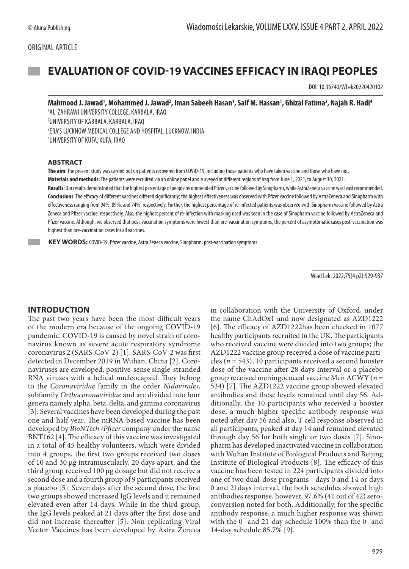#### ORIGINAL ARTICLE

# **EVALUATION OF COVID-19 VACCINES EFFICACY IN IRAQI PEOPLES**

DOI: 10.36740/WLek20220420102

#### Mahmood J. Jawad', Mohammed J. Jawad<sup>2</sup>, Iman Sabeeh Hasan', Saif M. Hassan', Ghizal Fatima<sup>3</sup>, Najah R. Hadi<sup>4</sup>

 AL-ZAHRAWI UNIVERSITY COLLEGE, KARBALA, IRAQ UNIVERSITY OF KARBALA, KARBALA, IRAQ ERA'S LUCKNOW MEDICAL COLLEGE AND HOSPITAL, LUCKNOW, INDIA UNIVERSITY OF KUFA, KUFA, IRAQ

#### **ABSTRACT**

**The aim**: The present study was carried out on patients recovered from COVID-19, including those patients who have taken vaccine and those who have not. **Materials and methods:** The patients were recruited via an online panel and surveyed at different regions of Iraq from June 1, 2021, to August 30, 2021. **Results**: Our results demonstrated that the highest percentage of people recommended Pfizer vaccine followed by Sinopharm, while AstraZeneca vaccine was least recommended.

**Conclusions**: The efficacy of different vaccines differed significantly; the highest effectiveness was observed with Pfizer vaccine followed by AstraZeneca and Sinopharm with effectiveness ranging from 94%, 89%, and 74%, respectively. Further, the highest percentage of re-infected patients was observed with Sinopharm vaccine followed by Astra Zeneca and Pfizer vaccine, respectively. Also, the highest percent of re-infection with masking used was seen in the case of Sinopharm vaccine followed by AstraZeneca and Pfizer vaccine. Although, we observed that post-vaccination symptoms were lowest than pre-vaccination symptoms, the percent of asymptomatic cases post-vaccination was highest than pre-vaccination cases for all vaccines.

 **KEY WORDS:** COVID-19, Pfizer vaccine, Astra Zeneca vaccine, Sinopharm, post-vaccination symptoms

Wiad Lek. 2022;75(4 p2):929-937

#### **INTRODUCTION**

The past two years have been the most difficult years of the modern era because of the ongoing COVID-19 pandemic. COVID-19 is caused by novel strain of coronavirus known as severe acute respiratory syndrome coronavirus 2 (SARS-CoV-2) [1]. SARS-CoV-2 was first detected in December 2019 in Wuhan, China [2]. Coronaviruses are enveloped, positive-sense single-stranded RNA viruses with a helical nucleocapsid. They belong to the *Coronaviridae* family in the order *Nidovirales*, subfamily *Orthocoronaviridae* and are divided into four genera namely alpha, beta, delta, and gamma coronavirus [3]. Several vaccines have been developed during the past one and half year. The mRNA-based vaccine has been developed by *BioNTech /Pfizer* company under the name BNT162 [4]. The efficacy of this vaccine was investigated in a total of 45 healthy volunteers, which were divided into 4 groups, the first two groups received two doses of 10 and 30 μg intramuscularly, 20 days apart, and the third group received 100 μg dosage but did not receive a second dose and a fourth group of 9 participants received a placebo [5]. Seven days after the second dose, the first two groups showed increased IgG levels and it remained elevated even after 14 days. While in the third group, the IgG levels peaked at 21 days after the first dose and did not increase thereafter [5]. Non-replicating Viral Vector Vaccines has been developed by Astra Zeneca in collaboration with the University of Oxford, under the name ChAdOx1 and now designated as AZD1222 [6]. The efficacy of AZD1222has been checked in 1077 healthy participants recruited in the UK. The participants who received vaccine were divided into two groups; the AZD1222 vaccine group received a dose of vaccine particles (*n* = 543), 10 participants received a second booster dose of the vaccine after 28 days interval or a placebo group received meningococcal vaccine Men ACWY (*n* = 534) [7]. The AZD1222 vaccine group showed elevated antibodies and these levels remained until day 56. Additionally, the 10 participants who received a booster dose, a much higher specific antibody response was noted after day 56 and also, T cell response observed in all participants, peaked at day 14 and remained elevated through day 56 for both single or two doses [7]. Sinopharm has developed inactivated vaccine in collaboration with Wuhan Institute of Biological Products and Beijing Institute of Biological Products [8]. The efficacy of this vaccine has been tested in 224 participants divided into one of two dual-dose programs - days 0 and 14 or days 0 and 21days interval, the both schedules showed high antibodies response, however, 97.6% (41 out of 42) seroconversion noted for both. Additionally, for the specific antibody response, a much higher response was shown with the 0- and 21-day schedule 100% than the 0- and 14-day schedule 85.7% [9].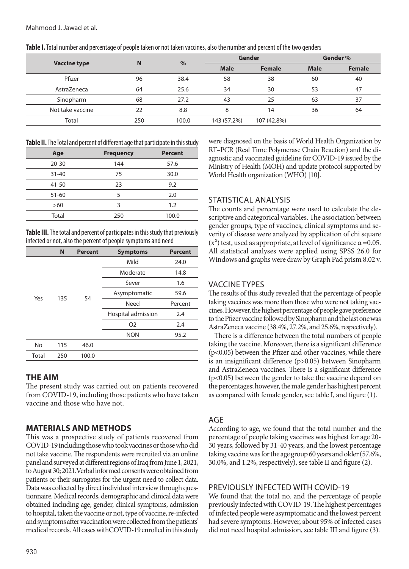| Table I. Total number and percentage of people taken or not taken vaccines, also the number and percent of the two genders |
|----------------------------------------------------------------------------------------------------------------------------|
|----------------------------------------------------------------------------------------------------------------------------|

|                     |     |       | Gender      |               | Gender %                      |               |
|---------------------|-----|-------|-------------|---------------|-------------------------------|---------------|
| <b>Vaccine type</b> | N   | $\%$  | <b>Male</b> | <b>Female</b> | <b>Male</b><br>60<br>53<br>63 | <b>Female</b> |
| Pfizer              | 96  | 38.4  | 58          | 38            |                               | 40            |
| AstraZeneca         | 64  | 25.6  | 34          | 30            |                               | 47            |
| Sinopharm           | 68  | 27.2  | 43          | 25            |                               | 37            |
| Not take vaccine    | 22  | 8.8   | 8           | 14            | 36                            | 64            |
| Total               | 250 | 100.0 | 143 (57.2%) | 107 (42.8%)   |                               |               |

**Table II.** The Total and percent of different age that participate in this study

| Age       | <b>Frequency</b> | <b>Percent</b> |
|-----------|------------------|----------------|
| $20 - 30$ | 144              | 57.6           |
| $31 - 40$ | 75               | 30.0           |
| 41-50     | 23               | 9.2            |
| $51 - 60$ | 5                | 2.0            |
| >60       | 3                | 1.2            |
| Total     | 250              | 100.0          |

**Table III.** The total and percent of participates in this study that previously infected or not, also the percent of people symptoms and need

|       | N   | <b>Percent</b> | <b>Symptoms</b>    | <b>Percent</b> |
|-------|-----|----------------|--------------------|----------------|
|       |     | Mild           | 24.0               |                |
|       |     |                | Moderate           | 14.8           |
|       |     |                | Sever              | 1.6            |
|       |     | 54             | Asymptomatic       |                |
| Yes   | 135 |                | Need               | Percent        |
|       |     |                | Hospital admission | 2.4            |
|       |     |                | O <sub>2</sub>     | 2.4            |
|       |     |                | <b>NON</b>         | 95.2           |
| No    | 115 | 46.0           |                    |                |
| Total | 250 | 100.0          |                    |                |

### **THE AIM**

The present study was carried out on patients recovered from COVID-19, including those patients who have taken vaccine and those who have not.

# **MATERIALS AND METHODS**

This was a prospective study of patients recovered from COVID-19 including those who took vaccines or those who did not take vaccine. The respondents were recruited via an online panel and surveyed at different regions of Iraq from June 1, 2021, to August 30; 2021.Verbal informed consents were obtained from patients or their surrogates for the urgent need to collect data. Data was collected by direct individual interview through questionnaire. Medical records, demographic and clinical data were obtained including age, gender, clinical symptoms, admission to hospital, taken the vaccine or not, type of vaccine, re-infected and symptoms after vaccination were collected from the patients' medical records. All cases withCOVID-19 enrolled in this study were diagnosed on the basis of World Health Organization by RT–PCR (Real Time Polymerase Chain Reaction) and the diagnostic and vaccinated guideline for COVID-19 issued by the Ministry of Health (MOH) and update protocol supported by World Health organization (WHO) [10].

# STATISTICAL ANALYSIS

The counts and percentage were used to calculate the descriptive and categorical variables. The association between gender groups, type of vaccines, clinical symptoms and severity of disease were analyzed by application of chi square  $(x^2)$  test, used as appropriate, at level of significance  $\alpha = 0.05$ . All statistical analyses were applied using SPSS 26.0 for Windows and graphs were draw by Graph Pad prism 8.02 v.

# VACCINE TYPES

The results of this study revealed that the percentage of people taking vaccines was more than those who were not taking vaccines. However, the highest percentage of people gave preference to the Pfizer vaccine followed by Sinopharm and the last one was AstraZeneca vaccine (38.4%, 27.2%, and 25.6%, respectively).

There is a difference between the total numbers of people taking the vaccine. Moreover, there is a significant difference (p<0.05) between the Pfizer and other vaccines, while there is an insignificant difference (p>0.05) between Sinopharm and AstraZeneca vaccines. There is a significant difference (p<0.05) between the gender to take the vaccine depend on the percentages; however, the male gender has highest percent as compared with female gender, see table I, and figure (1).

### AGE

According to age, we found that the total number and the percentage of people taking vaccines was highest for age 20- 30 years, followed by 31-40 years, and the lowest percentage taking vaccine was for the age group 60 years and older (57.6%, 30.0%, and 1.2%, respectively), see table II and figure (2).

### PREVIOUSLY INFECTED WITH COVID-19

We found that the total no. and the percentage of people previously infected with COVID-19. The highest percentages of infected people were asymptomatic and the lowest percent had severe symptoms. However, about 95% of infected cases did not need hospital admission, see table III and figure (3).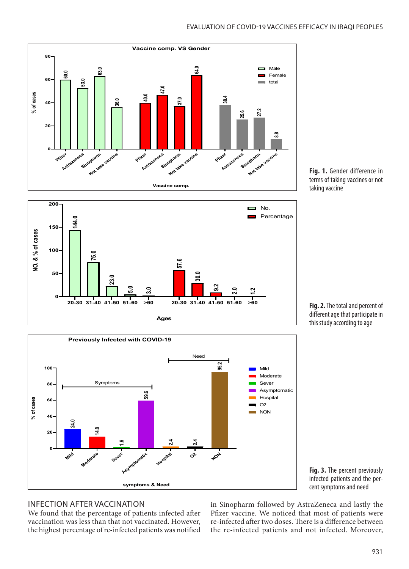







**Fig. 2.** The total and percent of different age that participate in this study according to age

**Fig. 3.** The percent previously infected patients and the percent symptoms and need

#### INFECTION AFTER VACCINATION

vaccination was less than that not vaccinated. However, the highest percentage of re-infected patients was notified

INFECTION AFTER VACCINATION in Sinopharm followed by AstraZeneca and<br>We found that the percentage of patients infected after Pfizer vaccine. We noticed that most of pa in Sinopharm followed by AstraZeneca and lastly the Pfizer vaccine. We noticed that most of patients were re-infected after two doses. There is a difference between the re-infected patients and not infected. Moreover,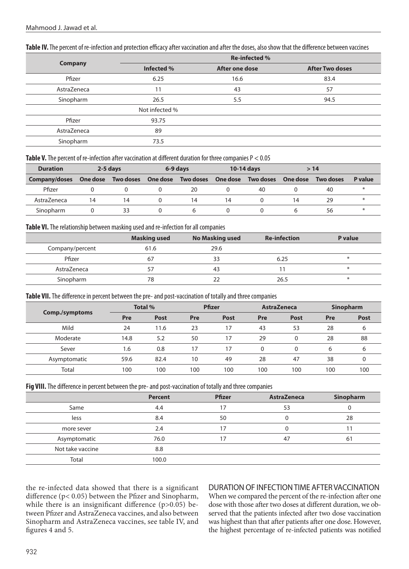|                | <b>Re-infected %</b> |                |                        |  |  |  |  |
|----------------|----------------------|----------------|------------------------|--|--|--|--|
| <b>Company</b> | Infected %           | After one dose | <b>After Two doses</b> |  |  |  |  |
| Pfizer         | 6.25                 | 16.6           | 83.4                   |  |  |  |  |
| AstraZeneca    | 11                   | 43             | 57                     |  |  |  |  |
| Sinopharm      | 26.5                 | 5.5            | 94.5                   |  |  |  |  |
|                | Not infected %       |                |                        |  |  |  |  |
| Pfizer         | 93.75                |                |                        |  |  |  |  |
| AstraZeneca    | 89                   |                |                        |  |  |  |  |
| Sinopharm      | 73.5                 |                |                        |  |  |  |  |

#### Table IV. The percent of re-infection and protection efficacy after vaccination and after the doses, also show that the difference between vaccines

**Table V.** The percent of re-infection after vaccination at different duration for three companies P < 0.05

| <b>Duration</b> |          | 2-5 days  |          | 6-9 days         |          | 10-14 days       |          | >14              |         |
|-----------------|----------|-----------|----------|------------------|----------|------------------|----------|------------------|---------|
| Company/doses   | One dose | Two doses | One dose | <b>Two doses</b> | One dose | <b>Two doses</b> | One dose | <b>Two doses</b> | P value |
| Pfizer          |          |           |          | 20               |          | 40               |          | 40               | $\ast$  |
| AstraZeneca     | 14       | 14        |          | 14               | 14       |                  | 14       | 29               |         |
| Sinopharm       |          |           |          |                  |          |                  |          | 56               | $\ast$  |

#### **Table VI.** The relationship between masking used and re-infection for all companies

|                 | <b>Masking used</b> | <b>No Masking used</b> | <b>Re-infection</b> | P value |
|-----------------|---------------------|------------------------|---------------------|---------|
| Company/percent | 61.6                | 29.6                   |                     |         |
| Pfizer          | 67                  | 33                     | 6.25                | $\ast$  |
| AstraZeneca     |                     | 43                     |                     | $\ast$  |
| Sinopharm       | 78                  |                        | 26.5                | $\ast$  |

**Table VII.** The difference in percent between the pre- and post-vaccination of totally and three companies

| Comp./symptoms |      | Total %     |            | <b>Pfizer</b> |              | <b>AstraZeneca</b> |     | <b>Sinopharm</b> |
|----------------|------|-------------|------------|---------------|--------------|--------------------|-----|------------------|
|                | Pre  | <b>Post</b> | <b>Pre</b> | <b>Post</b>   | Pre          | <b>Post</b>        | Pre | <b>Post</b>      |
| Mild           | 24   | 11.6        | 23         | 17            | 43           | 53                 | 28  | ь                |
| Moderate       | 14.8 | 5.2         | 50         | 17            | 29           |                    | 28  | 88               |
| Sever          | 1.6  | 0.8         | 17         |               | $\mathbf{0}$ |                    | 6   | b                |
| Asymptomatic   | 59.6 | 82.4        | 10         | 49            | 28           | 47                 | 38  |                  |
| Total          | 100  | 100         | 100        | 100           | 100          | 100                | 100 | 100              |

**Fig VIII.** The difference in percent between the pre- and post-vaccination of totally and three companies

|                  | <b>Percent</b> | <b>Pfizer</b> | <b>AstraZeneca</b> | Sinopharm |
|------------------|----------------|---------------|--------------------|-----------|
| Same             | 4.4            | 17            | 53                 |           |
| less             | 8.4            | 50            |                    | 28        |
| more sever       | 2.4            | 17            |                    |           |
| Asymptomatic     | 76.0           | 17            | 47                 | 61        |
| Not take vaccine | 8.8            |               |                    |           |
| Total            | 100.0          |               |                    |           |

the re-infected data showed that there is a significant difference (p< 0.05) between the Pfizer and Sinopharm, while there is an insignificant difference  $(p>0.05)$  between Pfizer and AstraZeneca vaccines, and also between Sinopharm and AstraZeneca vaccines, see table IV, and figures 4 and 5.

### DURATION OF INFECTION TIME AFTER VACCINATION

When we compared the percent of the re-infection after one dose with those after two doses at different duration, we observed that the patients infected after two dose vaccination was highest than that after patients after one dose. However, the highest percentage of re-infected patients was notified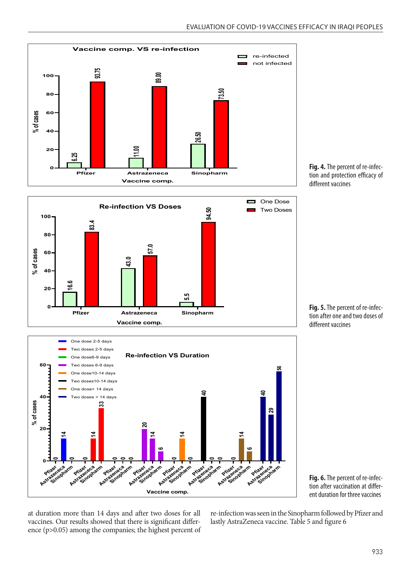

**Fig. 4.** The percent of re-infection and protection efficacy of different vaccines





**Fig. 5.** The percent of re-infection after one and two doses of different vaccines



at duration more than 14 days and after two doses for all ence (p>0.05) among the companies; the highest percent of

at duration more than 14 days and after two doses for all re-infection was seen in the Sinopharm followed by Pfizer and<br>vaccines. Our results showed that there is significant differ-lastly AstraZeneca vaccine. Table 5 and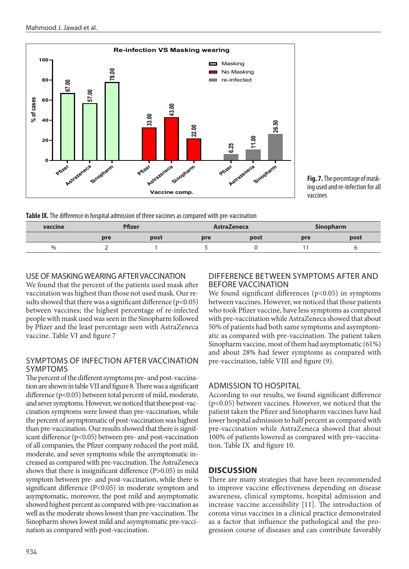

**Fig. 7.** The percentage of masking used and re-infection for all vaccines

**Table IX.** The difference in hospital admission of three vaccines as compared with pre-vaccination

| vaccine | Pfizer |      | <b>AstraZeneca</b> |      | <b>Sinopharm</b> |      |
|---------|--------|------|--------------------|------|------------------|------|
|         | pre    | post | pre                | post | pre              | post |
| $\%$    |        |      |                    |      |                  |      |

# USE OF MASKING WEARING AFTER VACCINATION

We found that the percent of the patients used mask after vaccination was highest than those not used mask. Our results showed that there was a significant difference  $(p<0.05)$ between vaccines; the highest percentage of re-infected people with mask used was seen in the Sinopharm followed by Pfizer and the least percentage seen with AstraZeneca vaccine. Table VI and figure 7

### SYMPTOMS OF INFECTION AFTER VACCINATION SYMPTOMS

The percent of the different symptoms pre- and post-vaccination are shown in table VII and figure 8. There was a significant difference (p<0.05) between total percent of mild, moderate, and sever symptoms. However, we noticed that these post-vaccination symptoms were lowest than pre-vaccination, while the percent of asymptomatic of post-vaccination was highest than pre-vaccination. Our results showed that there is significant difference (p<0.05) between pre- and post-vaccination of all companies, the Pfizer company reduced the post mild, moderate, and sever symptoms while the asymptomatic increased as compared with pre-vaccination. The AstraZeneca shows that there is insignificant difference (P>0.05) in mild symptom between pre- and post-vaccination, while there is significant difference (P<0.05) in moderate symptom and asymptomatic, moreover, the post mild and asymptomatic showed highest percent as compared with pre-vaccination as well as the moderate shows lowest than pre-vaccination. The Sinopharm shows lowest mild and asymptomatic pre-vaccination as compared with post-vaccination.

### DIFFERENCE BETWEEN SYMPTOMS AFTER AND BEFORE VACCINATION

We found significant differences  $(p<0.05)$  in symptoms between vaccines. However, we noticed that those patients who took Pfizer vaccine, have less symptoms as compared with pre-vaccination while AstraZeneca showed that about 50% of patients had both same symptoms and asymptomatic as compared with pre-vaccination. The patient taken Sinopharm vaccine, most of them had asymptomatic (61%) and about 28% had fewer symptoms as compared with pre-vaccination, table VIII and figure (9).

# ADMISSION TO HOSPITAL

According to our results, we found significant difference (p<0.05) between vaccines. However, we noticed that the patient taken the Pfizer and Sinopharm vaccines have had lower hospital admission to half percent as compared with pre-vaccination while AstraZeneca showed that about 100% of patients lowered as compared with pre-vaccination. Table IX and figure 10.

# **DISCUSSION**

There are many strategies that have been recommended to improve vaccine effectiveness depending on disease awareness, clinical symptoms, hospital admission and increase vaccine accessibility [11]. The introduction of corona virus vaccines in a clinical practice demonstrated as a factor that influence the pathological and the progression course of diseases and can contribute favorably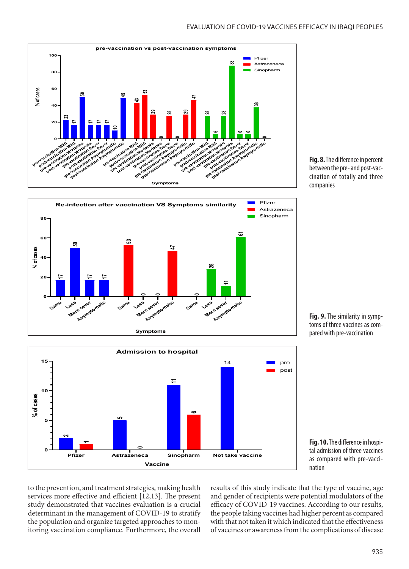





**Fig. 8.** The difference in percent between the pre- and post-vaccination of totally and three companies

**Fig. 9.** The similarity in symptoms of three vaccines as compared with pre-vaccination

**Fig. 10.** The difference in hospital admission of three vaccines as compared with pre-vaccination

to the prevention, and treatment strategies, making health services more effective and efficient [12,13]. The present study demonstrated that vaccines evaluation is a crucial determinant in the management of COVID-19 to stratify the population and organize targeted approaches to monitoring vaccination compliance. Furthermore, the overall results of this study indicate that the type of vaccine, age and gender of recipients were potential modulators of the efficacy of COVID-19 vaccines. According to our results, the people taking vaccines had higher percent as compared with that not taken it which indicated that the effectiveness of vaccines or awareness from the complications of disease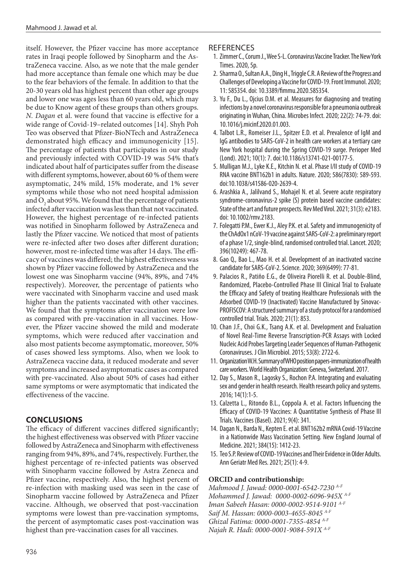itself. However, the Pfizer vaccine has more acceptance rates in Iraqi people followed by Sinopharm and the AstraZeneca vaccine. Also, as we note that the male gender had more acceptance than female one which may be due to the fear behaviors of the female. In addition to that the 20-30 years old has highest percent than other age groups and lower one was ages less than 60 years old, which may be due to Know agent of these groups than others groups. *N. Dagan* et al. were found that vaccine is effective for a wide range of Covid-19–related outcomes [14]. Shyh Poh Teo was observed that Pfizer-BioNTech and AstraZeneca demonstrated high efficacy and immunogenicity [15]. The percentage of patients that participates in our study and previously infected with COVID-19 was 54% that's indicated about half of participates suffer from the disease with different symptoms, however, about 60 % of them were asymptomatic, 24% mild, 15% moderate, and 1% sever symptoms while those who not need hospital admission and  $O_2$  about 95%. We found that the percentage of patients infected after vaccination was less than that not vaccinated. However, the highest percentage of re-infected patients was notified in Sinopharm followed by AstraZeneca and lastly the Pfizer vaccine. We noticed that most of patients were re-infected after two doses after different duration; however, most re-infected time was after 14 days. The efficacy of vaccines was differed; the highest effectiveness was shown by Pfizer vaccine followed by AstraZeneca and the lowest one was Sinopharm vaccine (94%, 89%, and 74% respectively). Moreover, the percentage of patients who were vaccinated with Sinopharm vaccine and used mask higher than the patients vaccinated with other vaccines. We found that the symptoms after vaccination were low as compared with pre-vaccination in all vaccines. However, the Pfizer vaccine showed the mild and moderate symptoms, which were reduced after vaccination and also most patients become asymptomatic, moreover, 50% of cases showed less symptoms. Also, when we look to AstraZeneca vaccine data, it reduced moderate and sever symptoms and increased asymptomatic cases as compared with pre-vaccinated. Also about 50% of cases had either same symptoms or were asymptomatic that indicated the effectiveness of the vaccine.

### **CONCLUSIONS**

The efficacy of different vaccines differed significantly; the highest effectiveness was observed with Pfizer vaccine followed by AstraZeneca and Sinopharm with effectiveness ranging from 94%, 89%, and 74%, respectively. Further, the highest percentage of re-infected patients was observed with Sinopharm vaccine followed by Astra Zeneca and Pfizer vaccine, respectively. Also, the highest percent of re-infection with masking used was seen in the case of Sinopharm vaccine followed by AstraZeneca and Pfizer vaccine. Although, we observed that post-vaccination symptoms were lowest than pre-vaccination symptoms, the percent of asymptomatic cases post-vaccination was highest than pre-vaccination cases for all vaccines.

### **REFERENCES**

- 1. Zimmer C., Corum J., Wee S-L. Coronavirus Vaccine Tracker. The New York Times. 2020, 5p.
- 2. Sharma O., Sultan A.A., Ding H., Triggle C.R. A Review of the Progress and Challenges of Developing a Vaccine for COVID-19. Front Immunol. 2020; 11: 585354. doi: 10.3389/fimmu.2020.585354.
- 3. Yu F., Du L., Ojcius D.M. et al. Measures for diagnosing and treating infections by a novel coronavirus responsible for a pneumonia outbreak originating in Wuhan, China. Microbes Infect. 2020; 22(2): 74-79. doi: 10.1016/j.micinf.2020.01.003.
- 4. Talbot L.R., Romeiser J.L., Spitzer E.D. et al. Prevalence of IgM and IgG antibodies to SARS-CoV-2 in health care workers at a tertiary care New York hospital during the Spring COVID-19 surge. Perioper Med (Lond). 2021; 10(1): 7. doi:10.1186/s13741-021-00177-5.
- 5. Mulligan M.J., Lyke K.E., Kitchin N. et al. Phase I/II study of COVID-19 RNA vaccine BNT162b1 in adults. Nature. 2020; 586(7830): 589-593. doi:10.1038/s41586-020-2639-4.
- 6. Arashkia A., Jalilvand S., Mohajel N. et al. Severe acute respiratory syndrome-coronavirus-2 spike (S) protein based vaccine candidates: State of the art and future prospects. Rev Med Virol. 2021; 31(3): e2183. doi: 10.1002/rmv.2183.
- 7. Folegatti P.M., Ewer K.J., Aley P.K. et al. Safety and immunogenicity of the ChAdOx1 nCoV-19 vaccine against SARS-CoV-2: a preliminary report of a phase 1/2, single-blind, randomised controlled trial. Lancet. 2020; 396(10249): 467-78.
- 8. Gao Q., Bao L., Mao H. et al. Development of an inactivated vaccine candidate for SARS-CoV-2. Science. 2020; 369(6499): 77-81.
- 9. Palacios R., Patiño E.G., de Oliveira Piorelli R. et al. Double-Blind, Randomized, Placebo-Controlled Phase III Clinical Trial to Evaluate the Efficacy and Safety of treating Healthcare Professionals with the Adsorbed COVID-19 (Inactivated) Vaccine Manufactured by Sinovac-PROFISCOV: A structured summary of a study protocol for a randomised controlled trial. Trials. 2020; 21(1): 853.
- 10. Chan J.F., Choi G.K., Tsang A.K. et al. Development and Evaluation of Novel Real-Time Reverse Transcription-PCR Assays with Locked Nucleic Acid Probes Targeting Leader Sequences of Human-Pathogenic Coronaviruses. J Clin Microbiol. 2015; 53(8): 2722-6.
- 11. Organization W.H. Summary of WHO position papers-immunization of health care workers. World Health Organization: Geneva, Switzerland. 2017.
- 12. Day S., Mason R., Lagosky S., Rochon P.A. Integrating and evaluating sex and gender in health research. Health research policy and systems. 2016; 14(1):1-5.
- 13. Calzetta L., Ritondo B.L., Coppola A. et al. Factors Influencing the Efficacy of COVID-19 Vaccines: A Quantitative Synthesis of Phase III Trials. Vaccines (Basel). 2021; 9(4): 341.
- 14. Dagan N., Barda N., Kepten E. et al. BNT162b2 mRNA Covid-19 Vaccine in a Nationwide Mass Vaccination Setting. New England Journal of Medicine. 2021; 384(15): 1412-23.
- 15. Teo S.P. Review of COVID-19 Vaccines and Their Evidence in Older Adults. Ann Geriatr Med Res. 2021; 25(1): 4-9.

### **ORCID and contributionship:**

*Mahmood J. Jawad: 0000-0001-6542-7230 A-F Mohammed J. Jawad: 0000-0002-6096-945X A-F Iman Sabeeh Hasan: 0000-0002-9514-9101 A-F Saif M. Hassan: 0000-0003-4655-8045 A-F Ghizal Fatima: 0000-0001-7355-4854 A-F Najah R. Hadi: 0000-0001-9084-591X A-F*